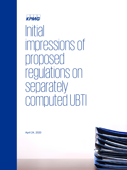

Initial impressions of proposed regulations on separately computed UBTI

April 24, 2020

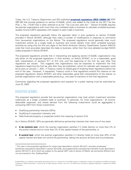Today, the U.S. Treasury Department and IRS published **[proposed regulations \(REG-106864-18\)](https://www.govinfo.gov/content/pkg/FR-2020-04-24/pdf/2020-06604.pdf)** [PDF 395 KB] that provide guidance on section 512(a)(6), which was added to the Code by the 2017 tax law (Pub. L. No. 115-97) that is often referred to as the "Tax Cuts and Jobs Act." Section 512(a)(6) requires tax-exempt organizations with more than one unrelated trade or business to calculate unrelated business taxable income (UBTI) separately with respect to each trade or business.

The proposed regulations generally follow the approach taken in prior guidance on section 512(a)(6) provided in Notice 2018-67, although they make a number of modifications in response to comments from tax-exempt organizations on the Notice. The proposed regulations would generally treat much investment activity as a single trade or business and would classify most other unrelated business activities by using only the first two digits of the North American Industry Classification System (NAICS) code that most accurately describes the trade or business, rather than the more detailed six-digit NAICS codes proposed in Notice 2018-67.

The proposed regulations provide that in interpreting and applying section 512(a)(6), organizations may rely either on the proposed regulations, in their entirety, on Notice 2018-67, or on a reasonable, good faith interpretation of sections 511 to 514 only until the beginning of the first tax year after final regulations are issued. This suggests that organizations may be expected to implement the final regulations beginning the first tax year after they are published—which for calendar year taxpayers could be as early as January 1, 2021, if Treasury meets its stated goal of finalizing these regulations before the end of the year. However, if requested, Treasury could in final regulations extend this reliance on the proposed regulations, Notice 2018-67, and other reasonable, good faith interpretations of the statute, to provide organizations with a reasonable period (e.g., one year) to transition to the final regulations.

Comments regarding the proposed regulations and requests for a public hearing must be submitted by June 23, 2020.

### Investment activities

The proposed regulations provide that tax-exempt organizations may treat certain investment activities collectively as a single unrelated trade or business. In particular, for most organizations,<sup>[1](#page-1-0)</sup> all income, deductible expenses, and losses derived from the following investments could be aggregated in computing UBTI from those investments:

- Qualifying partnership interests (QPIs);
- Qualifying S corporation interests; and
- Debt-financed property or properties (within the meaning of section 514).

As in Notice 2018-67, QPIs are generally defined as partnership interests that meet one of two tests:

- **A de minimis test**, which the exempt organization satisfies if it holds directly no more than 2% of the profits interest and no more than 2% of the capital interest of the partnership; or
- **A control test**, which the exempt organization satisfies if it directly holds no more than 20% of the capital interest and does not control the partnership, taking into account all facts and circumstances.

<span id="page-1-0"></span> $\overline{\phantom{a}}$ <sup>1</sup> The rules in the proposed regulations for social clubs described in section 501(c)(7), voluntary employees' beneficiary associations described in section 501(c)(9), and supplemental unemployment benefits trusts described in section 501(c)(17), all of which are subject to the special UBIT rules of section 512(a)(3), are somewhat different and not summarized in this TaxNewsFlash.

<sup>© 2020</sup> KPMG LLP, a Delaware limited liability partnership and the U.S. member firm of the KPMG network of independent member firms affiliated with KPMG International Cooperative ("KPMG International"), a Swiss entity. All rights reserved. Printed in the U.S.A. The KPMG name and logo are registered trademarks or trademarks of KPMG International.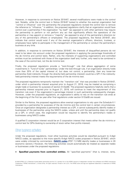However, in response to comments on Notice 2018-67, several modifications were made to the control test. Notably, while the control test in Notice 2018-67 looked to whether the exempt organization had "control or influence" over the partnership the proposed regulations revised the control test to remove the reference to "influence." In addition, the proposed regulations clarify that an organization would have control over a partnership if the organization "by itself" (as opposed to with other partners) may require the partnership to perform or not perform any act that significantly affects the operations of the partnership or may appoint or remove a "majority" (as opposed to any) of the partnership's directors (or any of the partnership's officers or employees). The proposed regulations, like Notice 2018-67, also indicate that control would exist if any of the exempt organization's officers, directors, trustees, or employees have rights to participate in the management of the partnership or conduct the partnership's business at any time.

In addition, in response to comments on Notice 2018-67, the interests of disqualified persons do not need to be taken into account under the proposed regulations in applying the percentage thresholds of the de minimis and control tests. Rather, only the interests of supporting organizations and controlled entities must be combined with those of the organization itself and, further, only need to be combined in the case of the control test, not the de minimis test.

Finally, the proposed regulations provide a "look-through" rule that allows aggregation of some investments in "fund of funds" partnerships. Under the look-through rule, if an organization directly holds more than 20% of the capital interest of, but does not control, a partnership, then any lower-tier partnership (held indirectly through the directly-held partnership interest) could be a QPI if the indirectlyheld partnership interest meets the requirements of the de minimis test.

The proposed regulations temporarily maintain the "transition rule" that was provided in Notice 2018-67, under which a partnership interest acquired prior to August 21, 2018, may be treated as comprising a single trade or business for purposes of section 512(a)(6). The proposed regulations helpfully clarify that a partnership interest acquired prior to August 21, 2018, will continue to meet the requirement of this transition rule even if the organization's percentage interest in such partnership subsequently changes. However, under the proposed regulations, an organization's ability to rely on the transition rule ends at the beginning of the first tax year after final regulations under section 512(a)(6) are issued.

Similar to the Notice, the proposed regulations allow exempt organizations to rely upon the Schedule K-1 provided by a partnership for purposes of the de minimis and the control test in certain circumstances. Once an organization designates a partnership interest as a QPI, it cannot subsequently identify trades or businesses of the partnership using the NAICS codes, unless and until the partnership does not qualify as a QPI, in which case, the organization would be required to identify the partnership's trades or businesses using NAICS codes.

A qualified S corporation interest would be an S corporation interest that meets either the de minimis or control test for QPIs (looking to ownership of stock rather than profits interest).

## Other business activities

Under the proposed regulations, most other business activities would be classified pursuant to 2-digit NAICS codes, as opposed to the more specific 6-digit NAICS codes proposed in Notice 2018-67, which were widely criticized by commenters. (**[NAICS codes](https://www.census.gov/eos/www/naics/2017NAICS/2017_NAICS_Manual.pdf)** [PDF 7.3 MB] identify trades or businesses in 20 economic sectors.) However, the following activities would automatically be treated as separate trades or businesses under the proposed regulations:

• **Specified payments from controlled entities.** All "specified payments" (that is, interest, rents,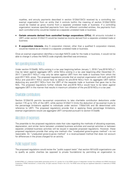royalties, and annuity payments described in section 512(b)(13)(C)) received by a controlling taxexempt organization from an entity that it controls (within the meaning of section 512(b)(13)(D)) would be treated as gross income from a separate unrelated trade or business. If a controlling organization receives specified payments from two different controlled entities, the payments from each controlled entity would be treated as a separate unrelated trade or business.

- **Certain amounts derived from controlled foreign corporations (CFCs).** All amounts included in UBTI under section 512(b)(17) would be treated as income derived from a separate unrelated trade or business.
- **S corporation interests.** Any S corporation interest, other than a qualified S corporation interest, would be treated as an interest in a separate unrelated trade or business.

Once an exempt organization identifies a two-digit NAICS code for the trade or business, it would not be able to change it unless the NAICS code originally identified was erroneous.

## Net operating losses (NOLs)

Under section 512(a)(6), NOLs arising in a tax year beginning before January 1, 2018 ("pre-2018 NOLs") may be taken against aggregate UBTI, while NOLs arising in a tax year beginning after December 31, 2017 ("post-2017 NOLs") may only be taken against UBTI from the trade or business from which the post-2017 NOL arose. The proposed regulations provide that an exempt organization with both pre-2018 NOLs and post-2017 NOLs would have to deduct its pre-2018 NOLs from its aggregate UBTI before deducting any post-2017 NOLs from the UBTI of the separate trade or business that gave rise to the NOL. The proposed regulations further indicate that pre-2018 NOLs would have to be taken against aggregate UBTI in the manner that results in maximum utilization of the pre-2018 NOLs in a tax year.

#### Charitable contributions

Section 512(b)(10) permits tax-exempt corporations to take charitable contribution deductions under section 170 up to 10% of the UBTI, while section 512(b)(11) limits the deduction of tax-exempt trusts to the percentage limitations applied to individuals under section 170(b)(1)(A) and (B) determined with reference to UBTI. The proposed regulations provide that in applying these percentage limitations, exempt organizations would use aggregate UBTI computed pursuant to section 512(a)(6).

#### Allocation of expenses

The preamble to the proposed regulations state that rules regarding the methods of allocating expenses, depreciation, and similar items between unrelated business activities and exempt activities or between separate unrelated business activities will be issued in separate proposed regulations. However, these proposed regulations provide that using one method—the "unadjusted gross-to-gross method"—is not reasonable. An "unadjusted gross-to-gross method" is a revenue-based method that does not account for differences in the prices charged for an activity.

## Public support tests

The proposed regulations would revise the "public support tests" that section 501(c)(3) organizations use to qualify as public charities (as opposed to private foundations) by permitting an organization to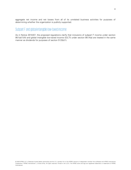aggregate net income and net losses from all of its unrelated business activities for purposes of determining whether the organization is publicly supported.

# Subpart F and global intangible low-taxed income

As in Notice 2018-67, the proposed regulations clarify that inclusions of subpart F income under section 951(a)(1)(A) and global intangible low-taxed income (GILTI) under section 951A(a) are treated in the same manner as dividends for purposes of section 512(b)(1).